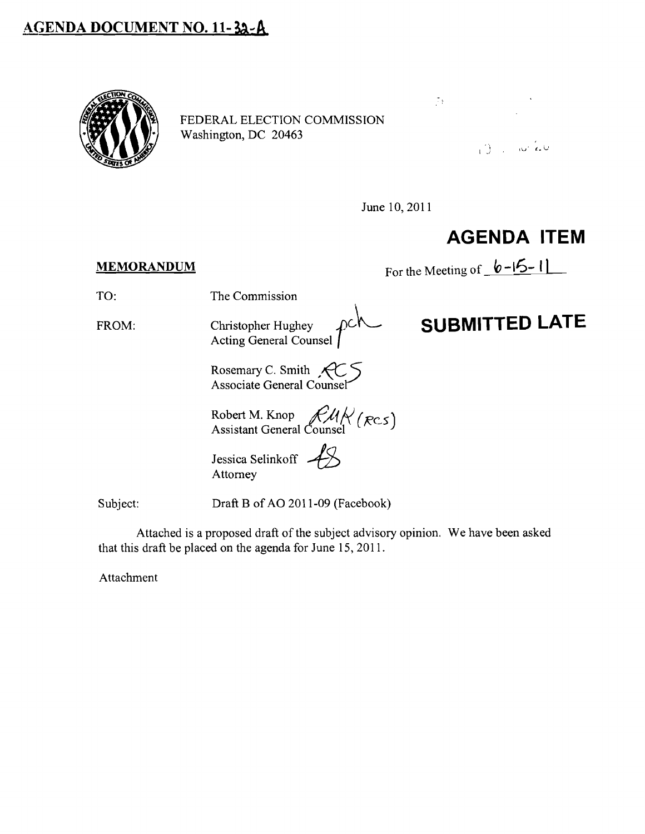## **AGENDA DOCUMENT NO. 11-32-A**



FEDERAL ELECTION COMMISSION



June 10, 2011

## **AGENDA ITEM**

**MEMORANDUM** For the Meeting of  $\mathbf{b}$  -15-1

TO: The Commission

FROM: Christopher Hughey  $\rho c \hbar$  **SUBMITTED LATE** Christopher Hughey<br>Acting General Counsel

Rosemary C. Smith  $\mathcal{A} \subset \mathcal{S}$ Associate General Counsel

Robert M. Knop  $\mathcal{H}$ <sup>1</sup> $(\mathcal{R}c5)$ Assistant General Counsel

Jessica Selinkoff Attorney

Subject: Draft B of AO 2011-09 (Facebook)

Attached is a proposed draft of the subject advisory opinion. We have been asked that this draft be placed on the agenda for June 15,2011.

Attachment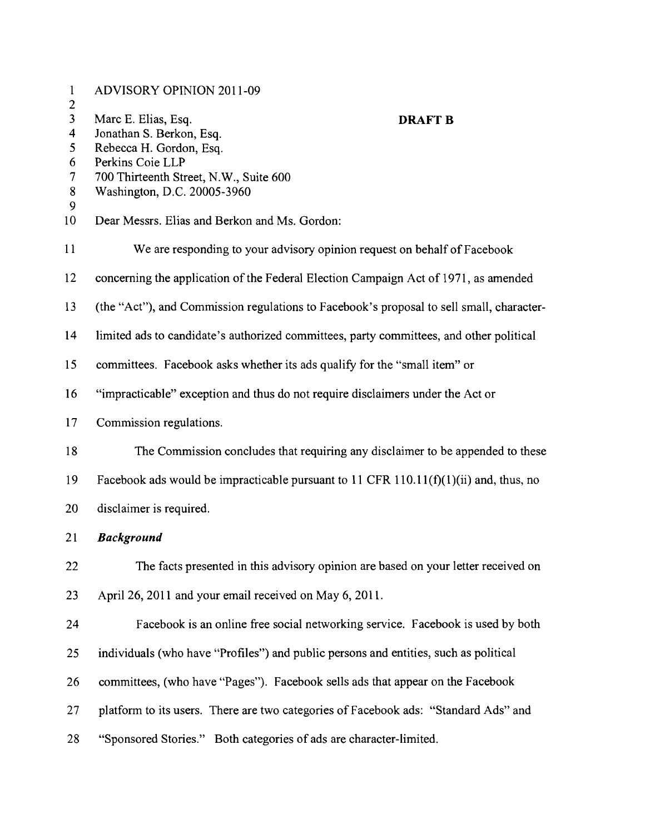| $\mathbf{1}$<br>$\overline{c}$ | <b>ADVISORY OPINION 2011-09</b>                                                          |
|--------------------------------|------------------------------------------------------------------------------------------|
| $\overline{\mathbf{3}}$        | Marc E. Elias, Esq.<br><b>DRAFT B</b>                                                    |
| $\overline{\mathbf{4}}$        | Jonathan S. Berkon, Esq.                                                                 |
| 5                              | Rebecca H. Gordon, Esq.                                                                  |
| 6                              | Perkins Coie LLP                                                                         |
| $\overline{\mathcal{I}}$       | 700 Thirteenth Street, N.W., Suite 600                                                   |
| 8<br>9                         | Washington, D.C. 20005-3960                                                              |
| 10                             | Dear Messrs. Elias and Berkon and Ms. Gordon:                                            |
| 11                             | We are responding to your advisory opinion request on behalf of Facebook                 |
| 12                             | concerning the application of the Federal Election Campaign Act of 1971, as amended      |
| 13                             | (the "Act"), and Commission regulations to Facebook's proposal to sell small, character- |
| 14                             | limited ads to candidate's authorized committees, party committees, and other political  |
| 15                             | committees. Facebook asks whether its ads qualify for the "small item" or                |
| 16                             | "impracticable" exception and thus do not require disclaimers under the Act or           |
| 17                             | Commission regulations.                                                                  |
| 18                             | The Commission concludes that requiring any disclaimer to be appended to these           |
| 19                             | Facebook ads would be impracticable pursuant to 11 CFR 110.11(f)(1)(ii) and, thus, no    |
| 20                             | disclaimer is required.                                                                  |
| 21                             | <b>Background</b>                                                                        |
| 22                             | The facts presented in this advisory opinion are based on your letter received on        |
| 23                             | April 26, 2011 and your email received on May 6, 2011.                                   |
| 24                             | Facebook is an online free social networking service. Facebook is used by both           |
| 25                             | individuals (who have "Profiles") and public persons and entities, such as political     |
| 26                             | committees, (who have "Pages"). Facebook sells ads that appear on the Facebook           |
| 27                             | platform to its users. There are two categories of Facebook ads: "Standard Ads" and      |
| 28                             | "Sponsored Stories." Both categories of ads are character-limited.                       |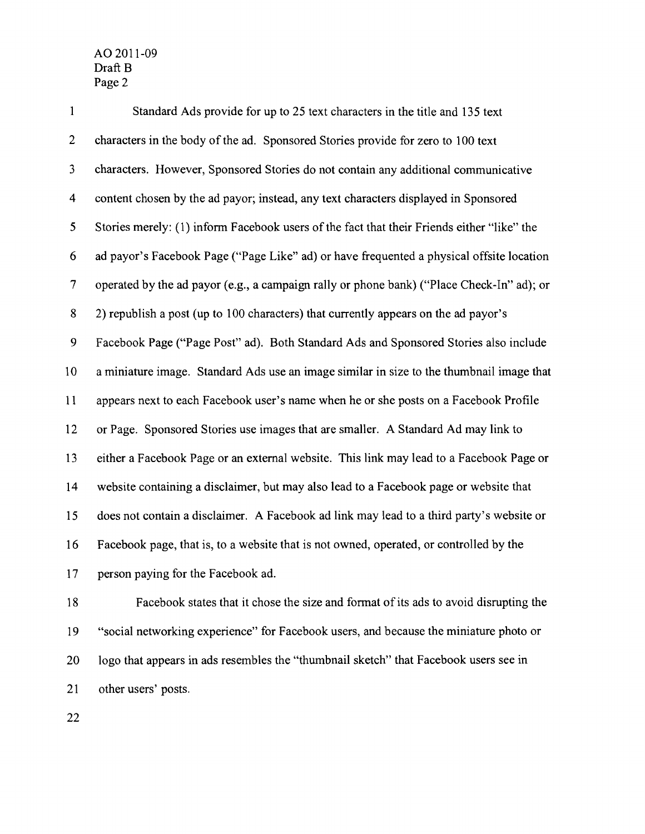1 Standard Ads provide for up to 25 text characters in the title and 135 text 2 characters in the body of the ad. Sponsored Stories provide for zero to 100 text 3 characters. However, Sponsored Stories do not contain any additional communicative 4 content chosen by the ad payor; instead, any text characters displayed in Sponsored 5 Stories merely: (1) inform Facebook users of the fact that their Friends either "like" the 6 ad payor's Facebook Page ("Page Like" ad) or have frequented a physical offsite location 7 operated by the ad payor (e.g., a campaign rally or phone bank) ("Place Check-In" ad); or 8 2) republish a post (up to 100 characters) that currently appears on the ad payor's 9 Facebook Page ("Page Post" ad). Both Standard Ads and Sponsored Stories also include lOa miniature image. Standard Ads use an image similar in size to the thumbnail image that 11 appears next to each Facebook user's name when he or she posts on a Facebook Profile 12 or Page. Sponsored Stories use images that are smaller. A Standard Ad may link to 13 either a Facebook Page or an external website. This link may lead to a Facebook Page or 14 website containing a disclaimer, but may also lead to a Facebook page or website that 15 does not contain a disclaimer. A Facebook ad link may lead to a third party's website or 16 Facebook page, that is, to a website that is not owned, operated, or controlled by the 17 person paying for the Facebook ad.

18 Facebook states that it chose the size and fonnat of its ads to avoid disrupting the 19 "social networking experience" for Facebook users, and because the miniature photo or 20 logo that appears in ads resembles the "thumbnail sketch" that Facebook users see in 21 other users' posts.

22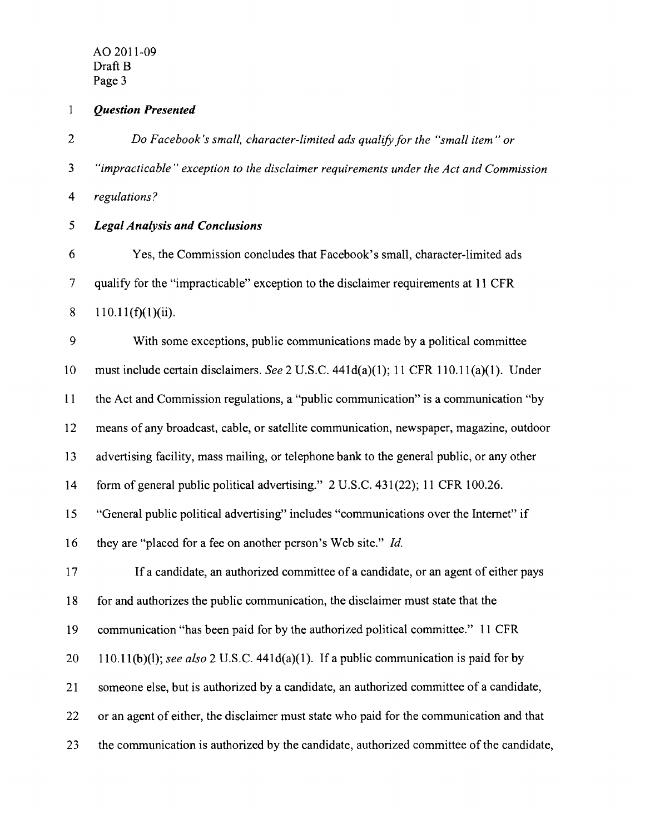*1 Question Presented* 

*2 Do Facebook's small, character-limited ads qualify for the "small item" or*  3 *"impracticable" exception to the disclaimer requirements under the Act and Commission*  4 *regulations? 5 Legal Analysis and Conclusions*  6 Yes, the Commission concludes that Facebook's small, character-limited ads

7 qualify for the "impracticable" exception to the disclaimer requirements at 11 CFR

8 110.11(f)(1)(ii).

9 With some exceptions, public communications made by a political committee 10 must include certain disclaimers. *See* 2 U.S.c. 441d(a)(1); 11 CFR 110.11(a)(1). Under 11 the Act and Commission regulations, a "public communication" is a communication "by 12 means of any broadcast, cable, or satellite communication, newspaper, magazine, outdoor 13 advertising facility, mass mailing, or telephone bank to the general public, or any other 14 form of general public political advertising." 2 U.S.c. 431 (22); 11 CFR 100.26. 15 "General public political advertising" includes "communications over the Internet" if 16 they are "placed for a fee on another person's Web site." *Id.*  17 If a candidate, an authorized committee of a candidate, or an agent of either pays

18 for and authorizes the public communication, the disclaimer must state that the

19 communication "has been paid for by the authorized political committee." 11 CFR

20 110.11(b)(1); *see also* 2 U.S.C. 441d(a)(1). Ifa public communication is paid for by

21 someone else, but is authorized by a candidate, an authorized committee of a candidate,

22 or an agent of either, the disclaimer must state who paid for the communication and that

23 the communication is authorized by the candidate, authorized committee of the candidate,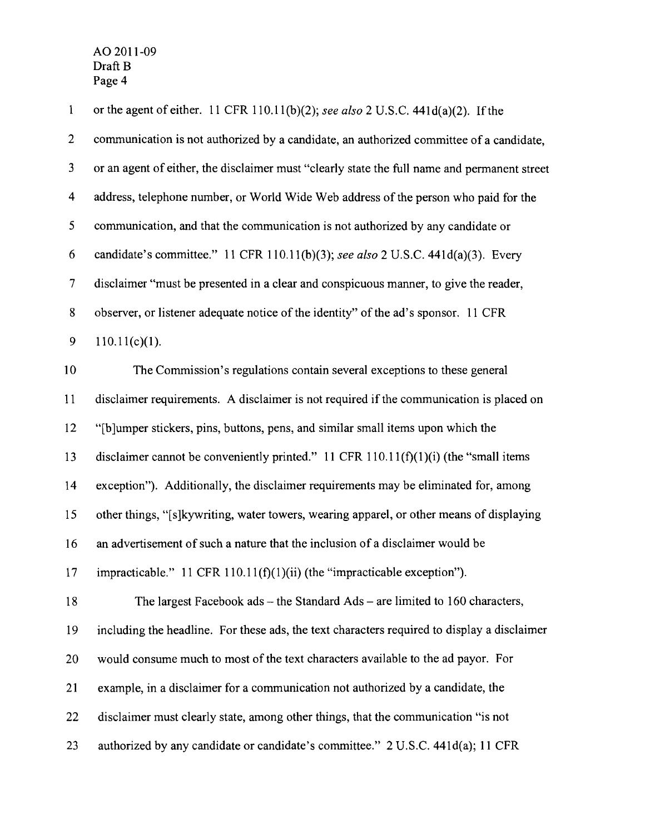| $\mathbf{1}$             | or the agent of either. 11 CFR 110.11(b)(2); see also 2 U.S.C. 441d(a)(2). If the            |
|--------------------------|----------------------------------------------------------------------------------------------|
| $\overline{c}$           | communication is not authorized by a candidate, an authorized committee of a candidate,      |
| 3                        | or an agent of either, the disclaimer must "clearly state the full name and permanent street |
| $\overline{\mathbf{4}}$  | address, telephone number, or World Wide Web address of the person who paid for the          |
| 5                        | communication, and that the communication is not authorized by any candidate or              |
| 6                        | candidate's committee." 11 CFR 110.11(b)(3); see also 2 U.S.C. 441d(a)(3). Every             |
| $\overline{\mathcal{L}}$ | disclaimer "must be presented in a clear and conspicuous manner, to give the reader,         |
| $8\,$                    | observer, or listener adequate notice of the identity" of the ad's sponsor. 11 CFR           |
| 9                        | $110.11(c)(1)$ .                                                                             |
| 10                       | The Commission's regulations contain several exceptions to these general                     |
| 11                       | disclaimer requirements. A disclaimer is not required if the communication is placed on      |
| 12                       | "[b]umper stickers, pins, buttons, pens, and similar small items upon which the              |
| 13                       | disclaimer cannot be conveniently printed." 11 CFR $110.11(f)(1)(i)$ (the "small items       |
| 14                       | exception"). Additionally, the disclaimer requirements may be eliminated for, among          |
| 15                       | other things, "[s] kywriting, water towers, wearing apparel, or other means of displaying    |
| 16                       | an advertisement of such a nature that the inclusion of a disclaimer would be                |
| 17                       | impracticable." $11$ CFR $110.11(f)(1)(ii)$ (the "impracticable exception").                 |
| 18                       | The largest Facebook $ads$ – the Standard Ads – are limited to 160 characters,               |
| 19                       | including the headline. For these ads, the text characters required to display a disclaimer  |
| 20                       | would consume much to most of the text characters available to the ad payor. For             |
| 21                       | example, in a disclaimer for a communication not authorized by a candidate, the              |
| 22                       | disclaimer must clearly state, among other things, that the communication "is not            |
| 23                       | authorized by any candidate or candidate's committee." 2 U.S.C. 441d(a); 11 CFR              |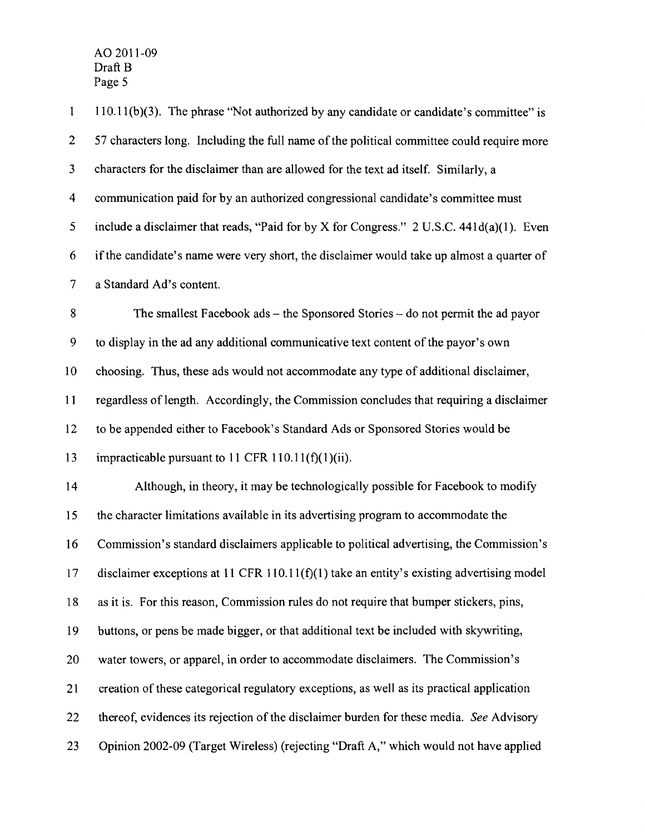1 110.11(b)(3). The phrase "Not authorized by any candidate or candidate's committee" is 2 57 characters long. Including the full name of the political committee could require more 3 characters for the disclaimer than are allowed for the text ad itself. Similarly, a 4 communication paid for by an authorized congressional candidate's committee must 5 include a disclaimer that reads, "Paid for by X for Congress." 2 U.S.C. 441d(a)(l). Even 6 ifthe candidate's name were very short, the disclaimer would take up almost a quarter of 7 a Standard Ad's content. 8 The smallest Facebook ads – the Sponsored Stories – do not permit the ad payor 9 to display in the ad any additional communicative text content ofthe payor's own 10 choosing. Thus, these ads would not accommodate any type of additional disclaimer, 11 regardless oflength. Accordingly, the Commission concludes that requiring a disclaimer 12 to be appended either to Facebook's Standard Ads or Sponsored Stories would be 13 impracticable pursuant to 11 CFR 110.11(f)(1)(ii). 14 Although, in theory, it may be technologically possible for Facebook to modify 15 the character limitations available in its advertising program to accommodate the 16 Commission's standard disclaimers applicable to political advertising, the Commission's 17 disclaimer exceptions at 11 CFR 110.11(f)(1) take an entity's existing advertising model 18 as it is. For this reason, Commission rules do not require that bumper stickers, pins, 19 buttons, or pens be made bigger, or that additional text be included with skywriting, 20 water towers, or apparel, in order to accommodate disclaimers. The Commission's 21 creation of these categorical regulatory exceptions, as well as its practical application 22 thereof, evidences its rejection of the disclaimer burden for these media. *See* Advisory 23 Opinion 2002-09 (Target Wireless) (rejecting "Draft A," which would not have applied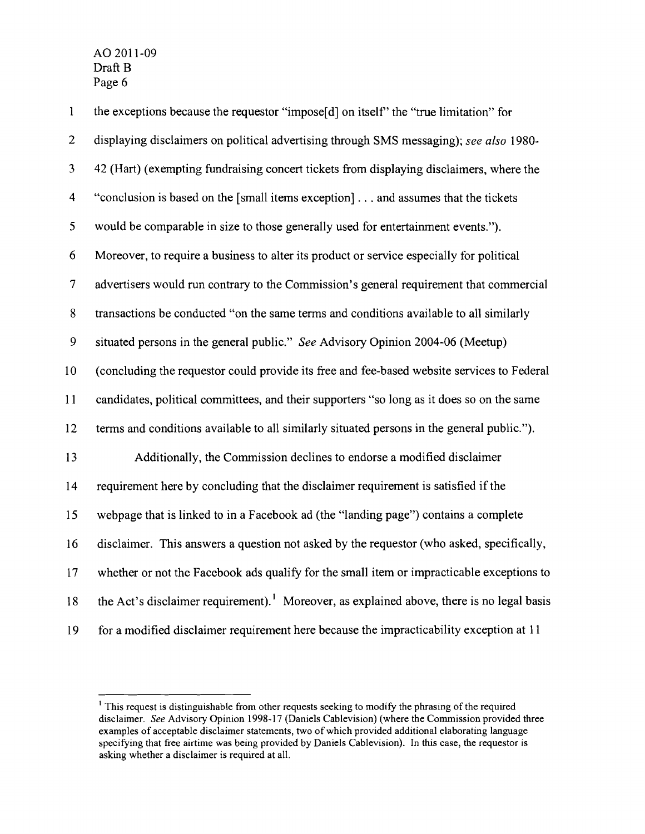1 the exceptions because the requestor "impose[d] on itself' the "true limitation" for 2 displaying disclaimers on political advertising through SMS messaging); *see also 1980* 3 42 (Hart) (exempting fundraising concert tickets from displaying disclaimers, where the 4 "conclusion is based on the [small items exception] ... and assumes that the tickets 5 would be comparable in size to those generally used for entertainment events."). 6 Moreover, to require a business to alter its product or service especially for political 7 advertisers would run contrary to the Commission's general requirement that commercial 8 transactions be conducted "on the same terms and conditions available to all similarly 9 situated persons in the general public." *See* Advisory Opinion 2004-06 (Meetup) 10 (concluding the requestor could provide its free and fee-based website services to Federal 11 candidates, political committees, and their supporters "so long as it does so on the same 12 terms and conditions available to all similarly situated persons in the general public."). 13 Additionally, the Commission declines to endorse a modified disclaimer 14 requirement here by concluding that the disclaimer requirement is satisfied if the 15 webpage that is linked to in a Facebook ad (the "landing page") contains a complete 16 disclaimer. This answers a question not asked by the requestor (who asked, specifically, 17 whether or not the Facebook ads qualify for the small item or impracticable exceptions to 18 the Act's disclaimer requirement).<sup>1</sup> Moreover, as explained above, there is no legal basis 19 for a modified disclaimer requirement here because the impracticability exception at 11

 $<sup>1</sup>$  This request is distinguishable from other requests seeking to modify the phrasing of the required</sup> disclaimer. See Advisory Opinion 1998-17 (Daniels Cablevision) (where the Commission provided three examples of acceptable disclaimer statements, two of which provided additional elaborating language specifying that free airtime was being provided by Daniels Cablevision). In this case, the requestor is asking whether a disclaimer is required at all.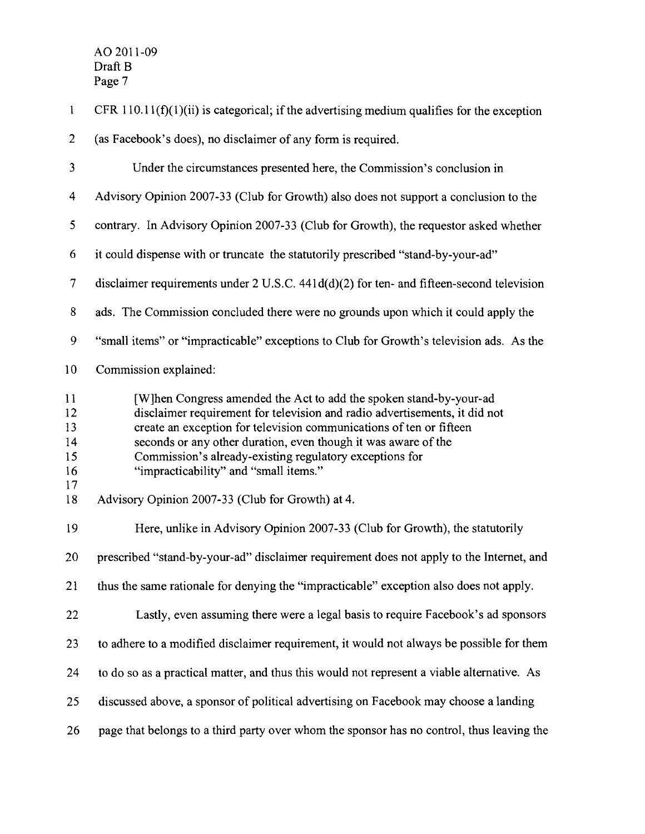| $\mathbf{1}$                     | CFR $110.11(f)(1)(ii)$ is categorical; if the advertising medium qualifies for the exception                                                                                                                                                                                                                                                                                                  |
|----------------------------------|-----------------------------------------------------------------------------------------------------------------------------------------------------------------------------------------------------------------------------------------------------------------------------------------------------------------------------------------------------------------------------------------------|
| $\overline{2}$                   | (as Facebook's does), no disclaimer of any form is required.                                                                                                                                                                                                                                                                                                                                  |
| 3                                | Under the circumstances presented here, the Commission's conclusion in                                                                                                                                                                                                                                                                                                                        |
| $\overline{4}$                   | Advisory Opinion 2007-33 (Club for Growth) also does not support a conclusion to the                                                                                                                                                                                                                                                                                                          |
| 5                                | contrary. In Advisory Opinion 2007-33 (Club for Growth), the requestor asked whether                                                                                                                                                                                                                                                                                                          |
| 6                                | it could dispense with or truncate the statutorily prescribed "stand-by-your-ad"                                                                                                                                                                                                                                                                                                              |
| $\overline{7}$                   | disclaimer requirements under $2 \text{ U.S.C. } 441 \text{ d(d)}(2)$ for ten- and fifteen-second television                                                                                                                                                                                                                                                                                  |
| 8                                | ads. The Commission concluded there were no grounds upon which it could apply the                                                                                                                                                                                                                                                                                                             |
| 9                                | "small items" or "impracticable" exceptions to Club for Growth's television ads. As the                                                                                                                                                                                                                                                                                                       |
| 10                               | Commission explained:                                                                                                                                                                                                                                                                                                                                                                         |
| 11<br>12<br>13<br>14<br>15<br>16 | [W]hen Congress amended the Act to add the spoken stand-by-your-ad<br>disclaimer requirement for television and radio advertisements, it did not<br>create an exception for television communications of ten or fifteen<br>seconds or any other duration, even though it was aware of the<br>Commission's already-existing regulatory exceptions for<br>"impracticability" and "small items." |
| 17<br>18                         | Advisory Opinion 2007-33 (Club for Growth) at 4.                                                                                                                                                                                                                                                                                                                                              |
| 19                               | Here, unlike in Advisory Opinion 2007-33 (Club for Growth), the statutorily                                                                                                                                                                                                                                                                                                                   |
| 20                               | prescribed "stand-by-your-ad" disclaimer requirement does not apply to the Internet, and                                                                                                                                                                                                                                                                                                      |
| 21                               | thus the same rationale for denying the "impracticable" exception also does not apply.                                                                                                                                                                                                                                                                                                        |
| 22                               | Lastly, even assuming there were a legal basis to require Facebook's ad sponsors                                                                                                                                                                                                                                                                                                              |
| 23                               | to adhere to a modified disclaimer requirement, it would not always be possible for them                                                                                                                                                                                                                                                                                                      |
| 24                               | to do so as a practical matter, and thus this would not represent a viable alternative. As                                                                                                                                                                                                                                                                                                    |
| 25                               | discussed above, a sponsor of political advertising on Facebook may choose a landing                                                                                                                                                                                                                                                                                                          |
| 26                               | page that belongs to a third party over whom the sponsor has no control, thus leaving the                                                                                                                                                                                                                                                                                                     |